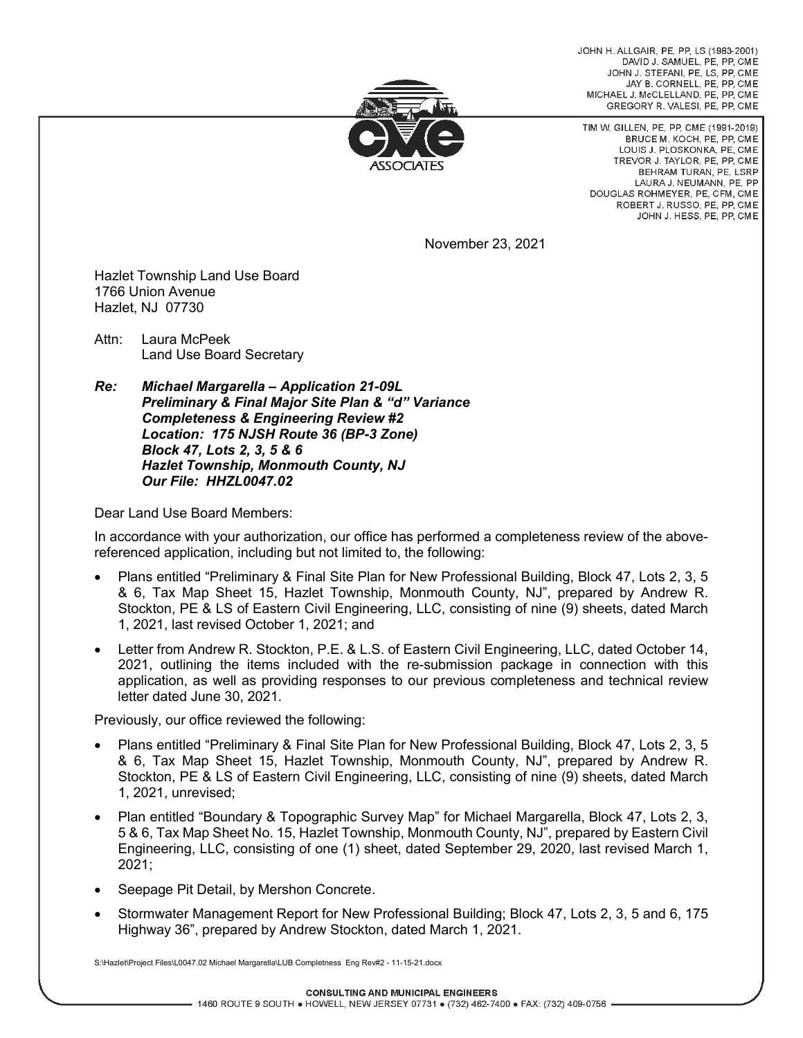JOHN H ALLGAIR PF PP LS (1983-2001) DAVID J. SAMUEL, PE. PP. CME JOHN J. STEFANI, PE, LS, PP, CME JAY B. CORNELL, PE. PP. CME MICHAEL J. McCLELLAND, PE, PP, CME GREGORY R. VALESI, PE, PP, CME



TIM W. GILLEN, PE, PP, CME (1991-2019) BRUCE M. KOCH, PE, PP, CME LOUIS J. PLOSKONKA, PE, CME TREVOR J. TAYLOR, PE, PP, CME REHRAM TURAN PE LSRP LAURA J. NEUMANN, PE. PP DOUGLAS ROHMEYER, PE, CFM, CME ROBERT J. RUSSO, PE, PP, CME JOHN J. HESS, PE, PP, CME

November 23, 2021

Hazlet Township Land Use Board 1766 Union Avenue Hazlet, NJ 07730

Attn: Laura McPeek Land Use Board Secretary

*Re: Michael Margarella – Application 21-09L Preliminary & Final Major Site Plan & "d" Variance Completeness & Engineering Review #2 Location: 175 NJSH Route 36 (BP-3 Zone) Block 47, Lots 2, 3, 5 & 6 Hazlet Township, Monmouth County, NJ Our File: HHZL0047.02*

Dear Land Use Board Members:

In accordance with your authorization, our office has performed a completeness review of the abovereferenced application, including but not limited to, the following:

- Plans entitled "Preliminary & Final Site Plan for New Professional Building, Block 47, Lots 2, 3, 5 & 6, Tax Map Sheet 15, Hazlet Township, Monmouth County, NJ", prepared by Andrew R. Stockton, PE & LS of Eastern Civil Engineering, LLC, consisting of nine (9) sheets, dated March 1, 2021, last revised October 1, 2021; and
- Letter from Andrew R. Stockton, P.E. & L.S. of Eastern Civil Engineering, LLC, dated October 14, 2021, outlining the items included with the re-submission package in connection with this application, as well as providing responses to our previous completeness and technical review letter dated June 30, 2021.

Previously, our office reviewed the following:

- Plans entitled "Preliminary & Final Site Plan for New Professional Building, Block 47, Lots 2, 3, 5 & 6, Tax Map Sheet 15, Hazlet Township, Monmouth County, NJ", prepared by Andrew R. Stockton, PE & LS of Eastern Civil Engineering, LLC, consisting of nine (9) sheets, dated March 1, 2021, unrevised;
- Plan entitled "Boundary & Topographic Survey Map" for Michael Margarella, Block 47, Lots 2, 3, 5 & 6, Tax Map Sheet No. 15, Hazlet Township, Monmouth County, NJ", prepared by Eastern Civil Engineering, LLC, consisting of one (1) sheet, dated September 29, 2020, last revised March 1, 2021;
- Seepage Pit Detail, by Mershon Concrete.
- Stormwater Management Report for New Professional Building; Block 47, Lots 2, 3, 5 and 6, 175 Highway 36", prepared by Andrew Stockton, dated March 1, 2021.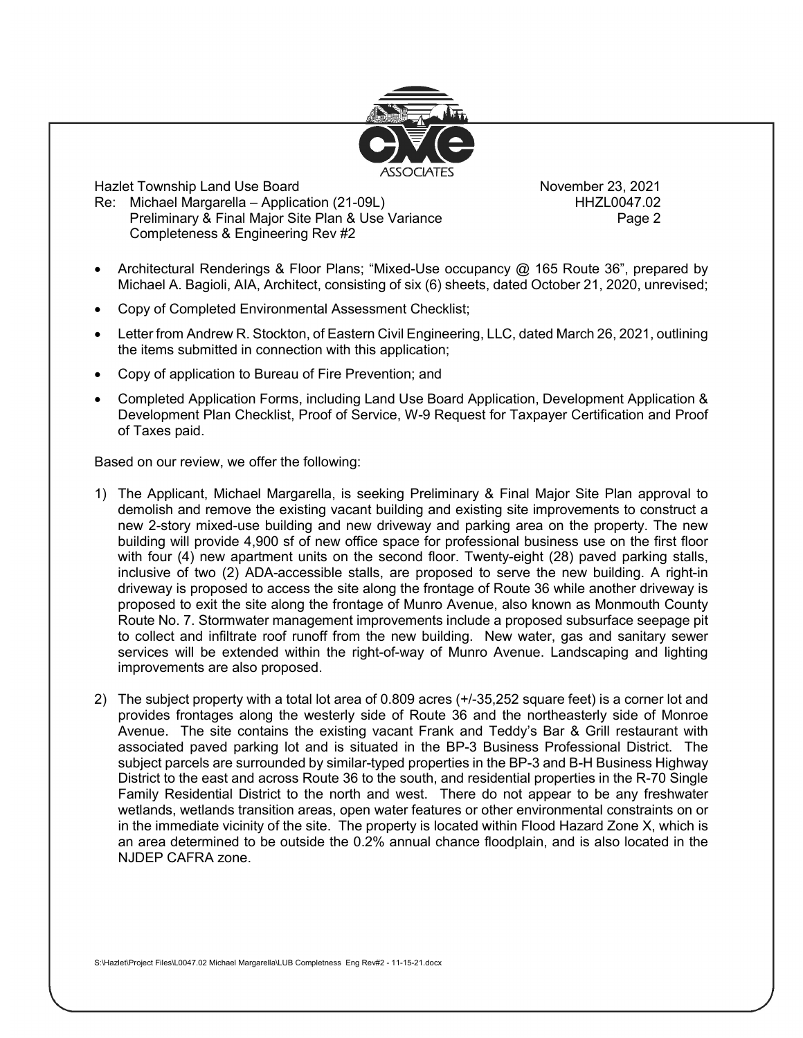

Hazlet Township Land Use Board<br>Re: Michael Margarella – Application (21-09L) November 23, 2021 Re: Michael Margarella – Application (21-09L) Preliminary & Final Major Site Plan & Use Variance **Preliminary & Final Major Struct** Completeness & Engineering Rev #2

- Architectural Renderings & Floor Plans; "Mixed-Use occupancy @ 165 Route 36", prepared by Michael A. Bagioli, AIA, Architect, consisting of six (6) sheets, dated October 21, 2020, unrevised;
- Copy of Completed Environmental Assessment Checklist;
- Letter from Andrew R. Stockton, of Eastern Civil Engineering, LLC, dated March 26, 2021, outlining the items submitted in connection with this application;
- Copy of application to Bureau of Fire Prevention; and
- Completed Application Forms, including Land Use Board Application, Development Application & Development Plan Checklist, Proof of Service, W-9 Request for Taxpayer Certification and Proof of Taxes paid.

Based on our review, we offer the following:

- 1) The Applicant, Michael Margarella, is seeking Preliminary & Final Major Site Plan approval to demolish and remove the existing vacant building and existing site improvements to construct a new 2-story mixed-use building and new driveway and parking area on the property. The new building will provide 4,900 sf of new office space for professional business use on the first floor with four (4) new apartment units on the second floor. Twenty-eight (28) paved parking stalls, inclusive of two (2) ADA-accessible stalls, are proposed to serve the new building. A right-in driveway is proposed to access the site along the frontage of Route 36 while another driveway is proposed to exit the site along the frontage of Munro Avenue, also known as Monmouth County Route No. 7. Stormwater management improvements include a proposed subsurface seepage pit to collect and infiltrate roof runoff from the new building. New water, gas and sanitary sewer services will be extended within the right-of-way of Munro Avenue. Landscaping and lighting improvements are also proposed.
- 2) The subject property with a total lot area of 0.809 acres (+/-35,252 square feet) is a corner lot and provides frontages along the westerly side of Route 36 and the northeasterly side of Monroe Avenue. The site contains the existing vacant Frank and Teddy's Bar & Grill restaurant with associated paved parking lot and is situated in the BP-3 Business Professional District. The subject parcels are surrounded by similar-typed properties in the BP-3 and B-H Business Highway District to the east and across Route 36 to the south, and residential properties in the R-70 Single Family Residential District to the north and west. There do not appear to be any freshwater wetlands, wetlands transition areas, open water features or other environmental constraints on or in the immediate vicinity of the site. The property is located within Flood Hazard Zone X, which is an area determined to be outside the 0.2% annual chance floodplain, and is also located in the NJDEP CAFRA zone.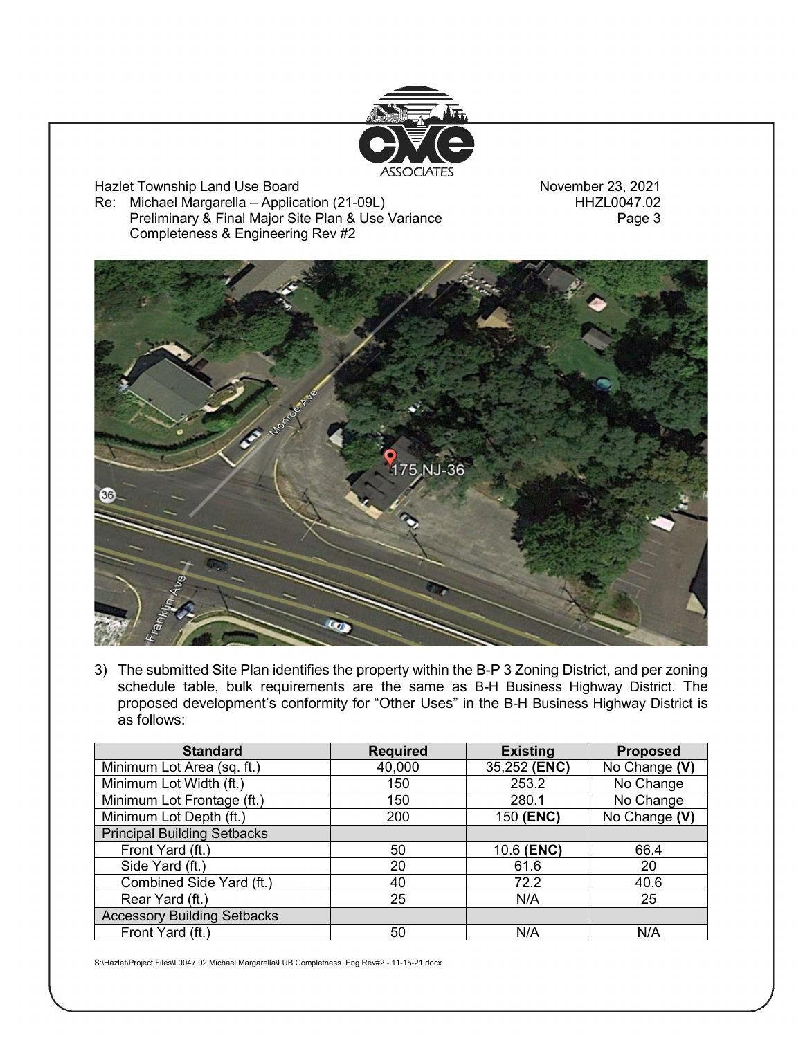

Hazlet Township Land Use Board<br>Re: Michael Margarella – Application (21-09L) November 23, 2021 Re: Michael Margarella – Application (21-09L)<br>Preliminary & Final Major Site Plan & Use Variance Freliminary & Final Major Site Plan & Use Variance Preliminary & Final Major Site Plan & Use Variance Completeness & Engineering Rev #2



3) The submitted Site Plan identifies the property within the B-P 3 Zoning District, and per zoning schedule table, bulk requirements are the same as B-H Business Highway District. The proposed development's conformity for "Other Uses" in the B-H Business Highway District is as follows:

| <b>Standard</b>                    | <b>Required</b> | <b>Existing</b> | <b>Proposed</b> |
|------------------------------------|-----------------|-----------------|-----------------|
| Minimum Lot Area (sq. ft.)         | 40,000          | 35,252 (ENC)    | No Change (V)   |
| Minimum Lot Width (ft.)            | 150             | 253.2           | No Change       |
| Minimum Lot Frontage (ft.)         | 150             | 280.1           | No Change       |
| Minimum Lot Depth (ft.)            | 200             | 150 (ENC)       | No Change (V)   |
| <b>Principal Building Setbacks</b> |                 |                 |                 |
| Front Yard (ft.)                   | 50              | 10.6 (ENC)      | 66.4            |
| Side Yard (ft.)                    | 20              | 61.6            | 20              |
| Combined Side Yard (ft.)           | 40              | 72.2            | 40.6            |
| Rear Yard (ft.)                    | 25              | N/A             | 25              |
| <b>Accessory Building Setbacks</b> |                 |                 |                 |
| Front Yard (ft.)                   | 50              | N/A             | N/A             |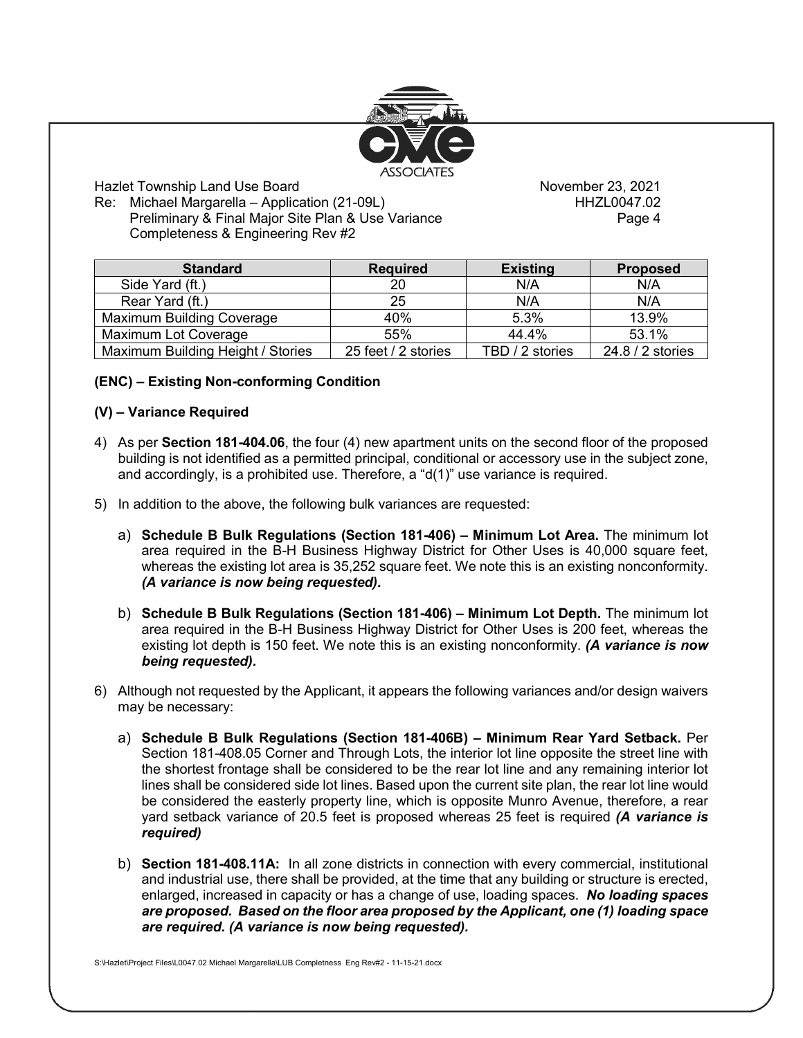

Hazlet Township Land Use Board<br>Re: Michael Margarella – Application (21-09L) November 23, 2021 Re: Michael Margarella – Application (21-09L) Preliminary & Final Major Site Plan & Use Variance **Preliminary & Final Major Structure** Page 4 Completeness & Engineering Rev #2

| <b>Standard</b>                   | <b>Required</b>     | <b>Existing</b> | <b>Proposed</b>  |
|-----------------------------------|---------------------|-----------------|------------------|
| Side Yard (ft.)                   | 20                  | N/A             | N/A              |
| Rear Yard (ft.)                   | 25                  | N/A             | N/A              |
| <b>Maximum Building Coverage</b>  | 40%                 | 5.3%            | 13.9%            |
| Maximum Lot Coverage              | 55%                 | 44.4%           | 53.1%            |
| Maximum Building Height / Stories | 25 feet / 2 stories | TBD / 2 stories | 24.8 / 2 stories |

# **(ENC) – Existing Non-conforming Condition**

#### **(V) – Variance Required**

- 4) As per **Section 181-404.06**, the four (4) new apartment units on the second floor of the proposed building is not identified as a permitted principal, conditional or accessory use in the subject zone, and accordingly, is a prohibited use. Therefore, a "d(1)" use variance is required.
- 5) In addition to the above, the following bulk variances are requested:
	- a) **Schedule B Bulk Regulations (Section 181-406) – Minimum Lot Area.** The minimum lot area required in the B-H Business Highway District for Other Uses is 40,000 square feet, whereas the existing lot area is 35,252 square feet. We note this is an existing nonconformity. *(A variance is now being requested).*
	- b) **Schedule B Bulk Regulations (Section 181-406) – Minimum Lot Depth.** The minimum lot area required in the B-H Business Highway District for Other Uses is 200 feet, whereas the existing lot depth is 150 feet. We note this is an existing nonconformity. *(A variance is now being requested).*
- 6) Although not requested by the Applicant, it appears the following variances and/or design waivers may be necessary:
	- a) **Schedule B Bulk Regulations (Section 181-406B) – Minimum Rear Yard Setback.** Per Section 181-408.05 Corner and Through Lots, the interior lot line opposite the street line with the shortest frontage shall be considered to be the rear lot line and any remaining interior lot lines shall be considered side lot lines. Based upon the current site plan, the rear lot line would be considered the easterly property line, which is opposite Munro Avenue, therefore, a rear yard setback variance of 20.5 feet is proposed whereas 25 feet is required *(A variance is required)*
	- b) **Section 181-408.11A:** In all zone districts in connection with every commercial, institutional and industrial use, there shall be provided, at the time that any building or structure is erected, enlarged, increased in capacity or has a change of use, loading spaces. *No loading spaces are proposed. Based on the floor area proposed by the Applicant, one (1) loading space are required. (A variance is now being requested).*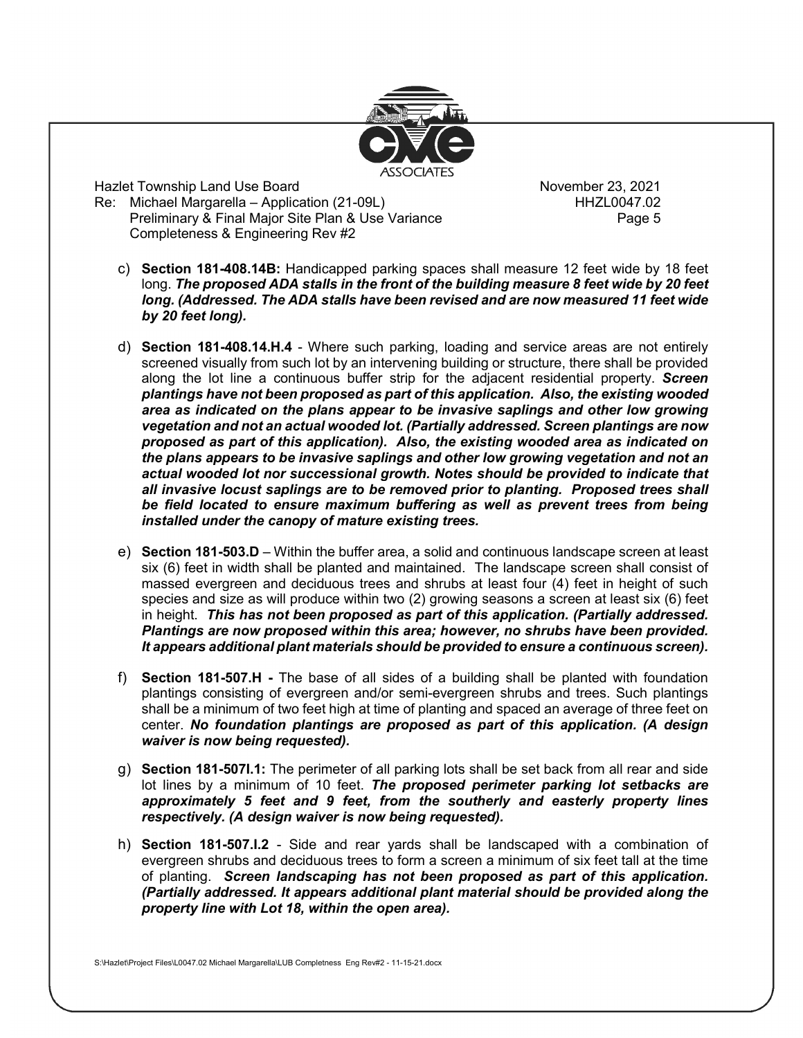

Hazlet Township Land Use Board<br>Re: Michael Margarella – Application (21-09L) November 23, 2021 Re: Michael Margarella – Application (21-09L) Preliminary & Final Major Site Plan & Use Variance **Preliminary & Final Major Site Page 5** Completeness & Engineering Rev #2

- c) **Section 181-408.14B:** Handicapped parking spaces shall measure 12 feet wide by 18 feet long. *The proposed ADA stalls in the front of the building measure 8 feet wide by 20 feet long. (Addressed. The ADA stalls have been revised and are now measured 11 feet wide by 20 feet long).*
- d) **Section 181-408.14.H.4** Where such parking, loading and service areas are not entirely screened visually from such lot by an intervening building or structure, there shall be provided along the lot line a continuous buffer strip for the adjacent residential property. *Screen plantings have not been proposed as part of this application. Also, the existing wooded area as indicated on the plans appear to be invasive saplings and other low growing vegetation and not an actual wooded lot. (Partially addressed. Screen plantings are now proposed as part of this application). Also, the existing wooded area as indicated on the plans appears to be invasive saplings and other low growing vegetation and not an actual wooded lot nor successional growth. Notes should be provided to indicate that all invasive locust saplings are to be removed prior to planting. Proposed trees shall*  be field located to ensure maximum buffering as well as prevent trees from being *installed under the canopy of mature existing trees.*
- e) **Section 181-503.D** Within the buffer area, a solid and continuous landscape screen at least six (6) feet in width shall be planted and maintained. The landscape screen shall consist of massed evergreen and deciduous trees and shrubs at least four (4) feet in height of such species and size as will produce within two (2) growing seasons a screen at least six (6) feet in height. *This has not been proposed as part of this application. (Partially addressed. Plantings are now proposed within this area; however, no shrubs have been provided. It appears additional plant materials should be provided to ensure a continuous screen).*
- f) **Section 181-507.H -** The base of all sides of a building shall be planted with foundation plantings consisting of evergreen and/or semi-evergreen shrubs and trees. Such plantings shall be a minimum of two feet high at time of planting and spaced an average of three feet on center. *No foundation plantings are proposed as part of this application. (A design waiver is now being requested).*
- g) **Section 181-507I.1:** The perimeter of all parking lots shall be set back from all rear and side lot lines by a minimum of 10 feet. *The proposed perimeter parking lot setbacks are approximately 5 feet and 9 feet, from the southerly and easterly property lines respectively. (A design waiver is now being requested).*
- h) **Section 181-507.I.2** Side and rear yards shall be landscaped with a combination of evergreen shrubs and deciduous trees to form a screen a minimum of six feet tall at the time of planting. *Screen landscaping has not been proposed as part of this application. (Partially addressed. It appears additional plant material should be provided along the property line with Lot 18, within the open area).*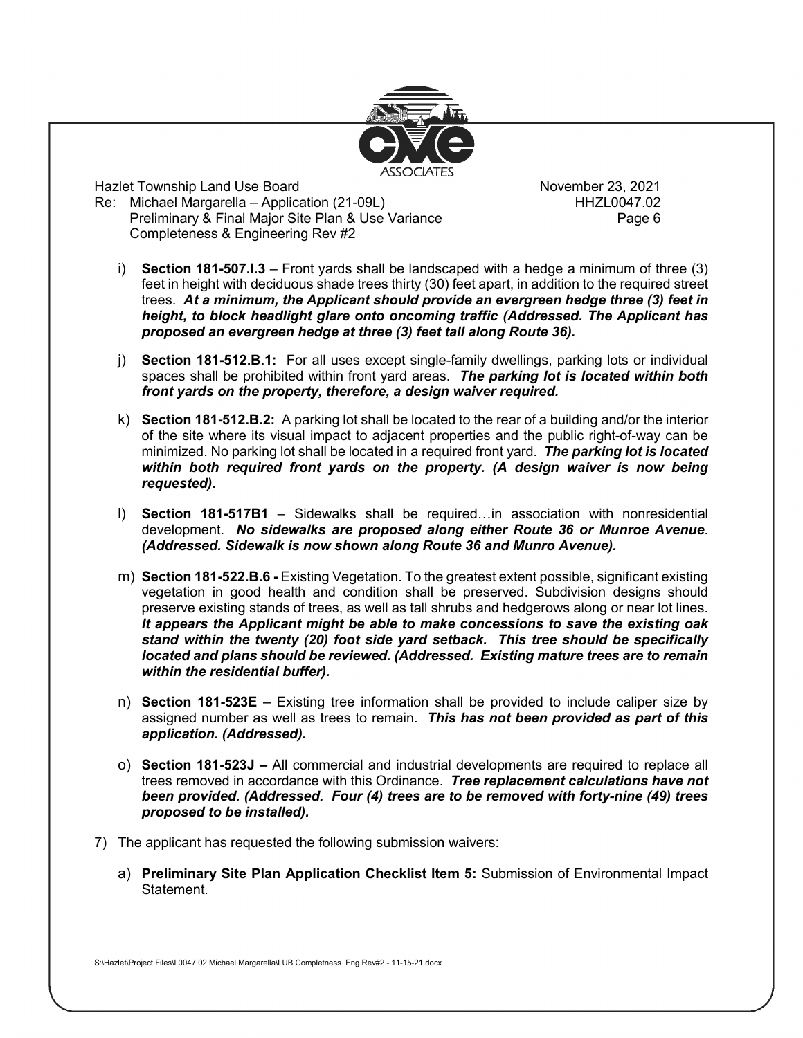

Hazlet Township Land Use Board<br>Re: Michael Margarella – Application (21-09L) November 23, 2021 Re: Michael Margarella – Application (21-09L) Preliminary & Final Major Site Plan & Use Variance **Final Page 6** Completeness & Engineering Rev #2

- i) **Section 181-507.I.3** Front yards shall be landscaped with a hedge a minimum of three (3) feet in height with deciduous shade trees thirty (30) feet apart, in addition to the required street trees. *At a minimum, the Applicant should provide an evergreen hedge three (3) feet in height, to block headlight glare onto oncoming traffic (Addressed. The Applicant has proposed an evergreen hedge at three (3) feet tall along Route 36).*
- j) **Section 181-512.B.1:** For all uses except single-family dwellings, parking lots or individual spaces shall be prohibited within front yard areas. *The parking lot is located within both front yards on the property, therefore, a design waiver required.*
- k) **Section 181-512.B.2:** A parking lot shall be located to the rear of a building and/or the interior of the site where its visual impact to adjacent properties and the public right-of-way can be minimized. No parking lot shall be located in a required front yard. *The parking lot is located within both required front yards on the property. (A design waiver is now being requested).*
- l) **Section 181-517B1** Sidewalks shall be required…in association with nonresidential development. *No sidewalks are proposed along either Route 36 or Munroe Avenue*. *(Addressed. Sidewalk is now shown along Route 36 and Munro Avenue).*
- m) **Section 181-522.B.6 -** Existing Vegetation. To the greatest extent possible, significant existing vegetation in good health and condition shall be preserved. Subdivision designs should preserve existing stands of trees, as well as tall shrubs and hedgerows along or near lot lines. *It appears the Applicant might be able to make concessions to save the existing oak stand within the twenty (20) foot side yard setback. This tree should be specifically located and plans should be reviewed. (Addressed. Existing mature trees are to remain within the residential buffer).*
- n) **Section 181-523E** Existing tree information shall be provided to include caliper size by assigned number as well as trees to remain. *This has not been provided as part of this application. (Addressed).*
- o) **Section 181-523J** *–* All commercial and industrial developments are required to replace all trees removed in accordance with this Ordinance. *Tree replacement calculations have not been provided. (Addressed. Four (4) trees are to be removed with forty-nine (49) trees proposed to be installed).*
- 7) The applicant has requested the following submission waivers:
	- a) **Preliminary Site Plan Application Checklist Item 5:** Submission of Environmental Impact Statement.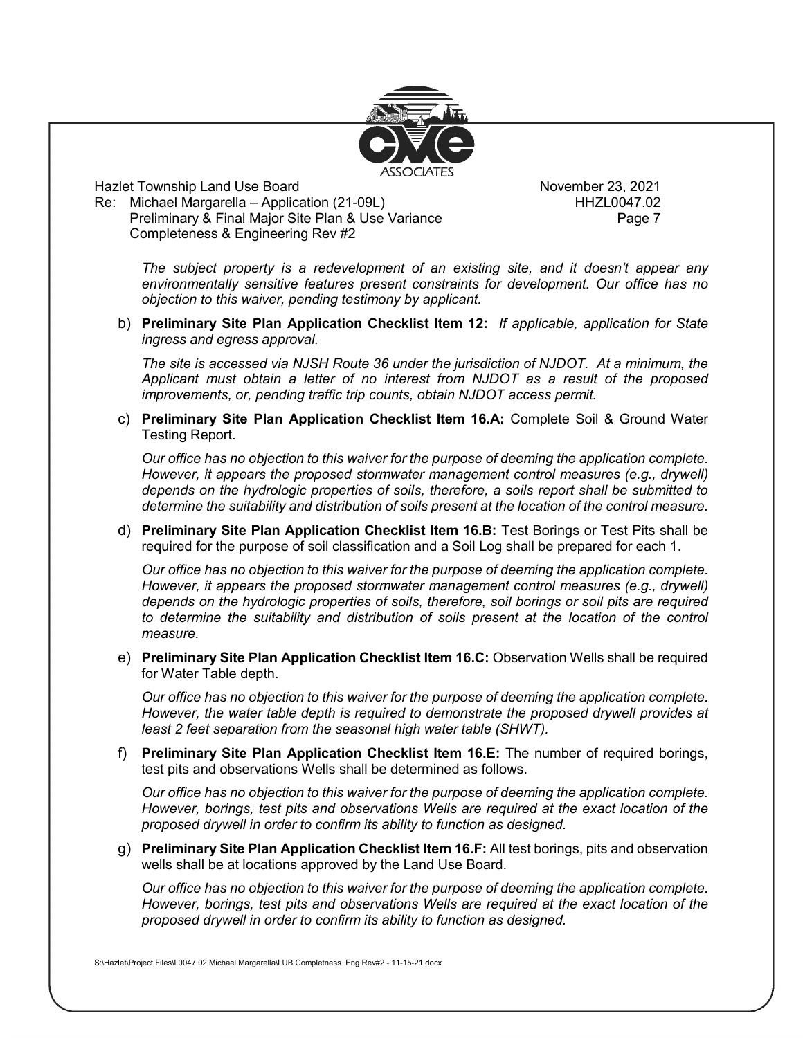

Hazlet Township Land Use Board November 23, 2021<br>Re: Michael Margarella – Application (21-09L) HHZL0047.02 Re: Michael Margarella – Application (21-09L) Preliminary & Final Major Site Plan & Use Variance **Preliminary & Final Major Site Page 7** Completeness & Engineering Rev #2

*The subject property is a redevelopment of an existing site, and it doesn't appear any environmentally sensitive features present constraints for development. Our office has no objection to this waiver, pending testimony by applicant.*

b) **Preliminary Site Plan Application Checklist Item 12:** *If applicable, application for State ingress and egress approval.*

*The site is accessed via NJSH Route 36 under the jurisdiction of NJDOT. At a minimum, the Applicant must obtain a letter of no interest from NJDOT as a result of the proposed improvements, or, pending traffic trip counts, obtain NJDOT access permit.*

c) **Preliminary Site Plan Application Checklist Item 16.A:** Complete Soil & Ground Water Testing Report.

*Our office has no objection to this waiver for the purpose of deeming the application complete. However, it appears the proposed stormwater management control measures (e.g., drywell) depends on the hydrologic properties of soils, therefore, a soils report shall be submitted to determine the suitability and distribution of soils present at the location of the control measure.*

d) **Preliminary Site Plan Application Checklist Item 16.B:** Test Borings or Test Pits shall be required for the purpose of soil classification and a Soil Log shall be prepared for each 1.

*Our office has no objection to this waiver for the purpose of deeming the application complete. However, it appears the proposed stormwater management control measures (e.g., drywell) depends on the hydrologic properties of soils, therefore, soil borings or soil pits are required*  to determine the suitability and distribution of soils present at the location of the control *measure.*

e) **Preliminary Site Plan Application Checklist Item 16.C:** Observation Wells shall be required for Water Table depth.

*Our office has no objection to this waiver for the purpose of deeming the application complete. However, the water table depth is required to demonstrate the proposed drywell provides at least 2 feet separation from the seasonal high water table (SHWT).*

f) **Preliminary Site Plan Application Checklist Item 16.E:** The number of required borings, test pits and observations Wells shall be determined as follows.

*Our office has no objection to this waiver for the purpose of deeming the application complete. However, borings, test pits and observations Wells are required at the exact location of the proposed drywell in order to confirm its ability to function as designed.* 

g) **Preliminary Site Plan Application Checklist Item 16.F:** All test borings, pits and observation wells shall be at locations approved by the Land Use Board.

*Our office has no objection to this waiver for the purpose of deeming the application complete. However, borings, test pits and observations Wells are required at the exact location of the proposed drywell in order to confirm its ability to function as designed.*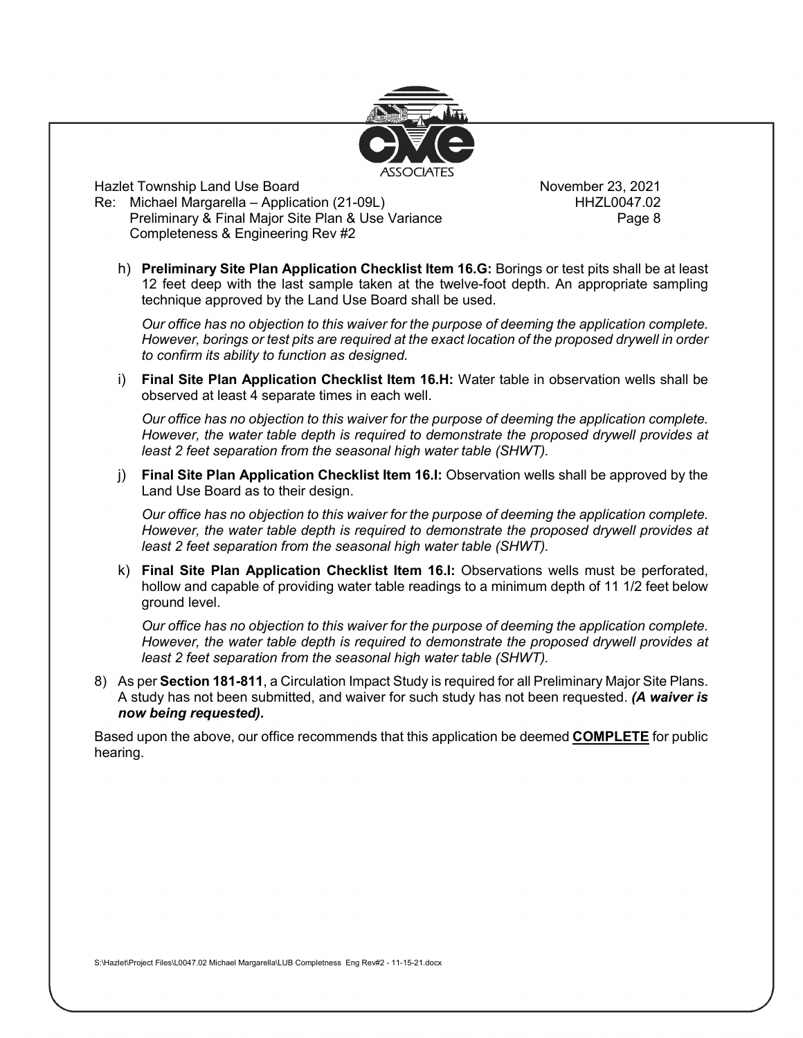

Hazlet Township Land Use Board<br>Re: Michael Margarella – Application (21-09L) November 23, 2021 Re: Michael Margarella – Application (21-09L) Preliminary & Final Major Site Plan & Use Variance **Page 8** Page 8 Completeness & Engineering Rev #2

h) **Preliminary Site Plan Application Checklist Item 16.G:** Borings or test pits shall be at least 12 feet deep with the last sample taken at the twelve-foot depth. An appropriate sampling technique approved by the Land Use Board shall be used.

*Our office has no objection to this waiver for the purpose of deeming the application complete. However, borings or test pits are required at the exact location of the proposed drywell in order to confirm its ability to function as designed.* 

i) **Final Site Plan Application Checklist Item 16.H:** Water table in observation wells shall be observed at least 4 separate times in each well.

*Our office has no objection to this waiver for the purpose of deeming the application complete. However, the water table depth is required to demonstrate the proposed drywell provides at least 2 feet separation from the seasonal high water table (SHWT).*

j) **Final Site Plan Application Checklist Item 16.I:** Observation wells shall be approved by the Land Use Board as to their design.

*Our office has no objection to this waiver for the purpose of deeming the application complete. However, the water table depth is required to demonstrate the proposed drywell provides at least 2 feet separation from the seasonal high water table (SHWT).*

k) **Final Site Plan Application Checklist Item 16.I:** Observations wells must be perforated, hollow and capable of providing water table readings to a minimum depth of 11 1/2 feet below ground level.

*Our office has no objection to this waiver for the purpose of deeming the application complete. However, the water table depth is required to demonstrate the proposed drywell provides at least 2 feet separation from the seasonal high water table (SHWT).*

8) As per **Section 181-811**, a Circulation Impact Study is required for all Preliminary Major Site Plans. A study has not been submitted, and waiver for such study has not been requested. *(A waiver is now being requested).*

Based upon the above, our office recommends that this application be deemed **COMPLETE** for public hearing.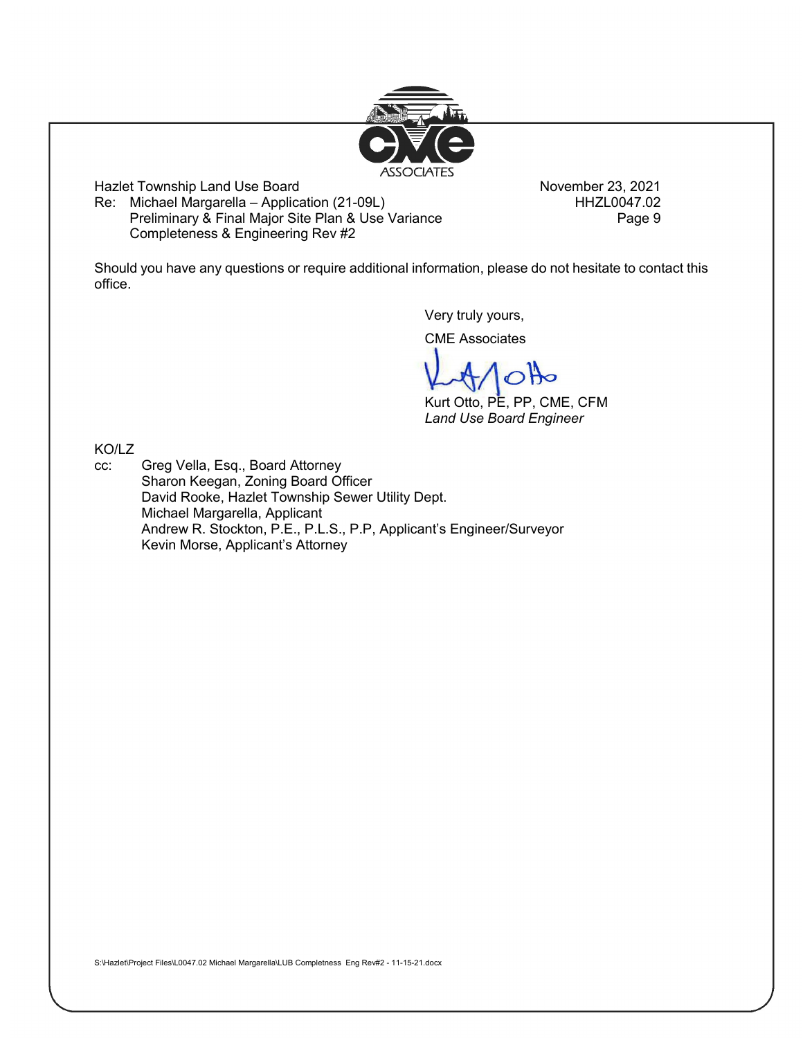S:\Hazlet\Project Files\L0047.02 Michael Margarella\LUB Completness Eng Rev#2 - 11-15-21.docx



Hazlet Township Land Use Board<br>Re: Michael Margarella – Application (21-09L) November 23, 2021 Re: Michael Margarella – Application (21-09L) Preliminary & Final Major Site Plan & Use Variance Preliminary & Final Major Site Plan & Use Variance Completeness & Engineering Rev #2

Should you have any questions or require additional information, please do not hesitate to contact this office.

Very truly yours,

CME Associates

Kurt Otto, PE, PP, CME, CFM *Land Use Board Engineer*

KO/LZ

cc: Greg Vella, Esq., Board Attorney Sharon Keegan, Zoning Board Officer David Rooke, Hazlet Township Sewer Utility Dept. Michael Margarella, Applicant Andrew R. Stockton, P.E., P.L.S., P.P, Applicant's Engineer/Surveyor Kevin Morse, Applicant's Attorney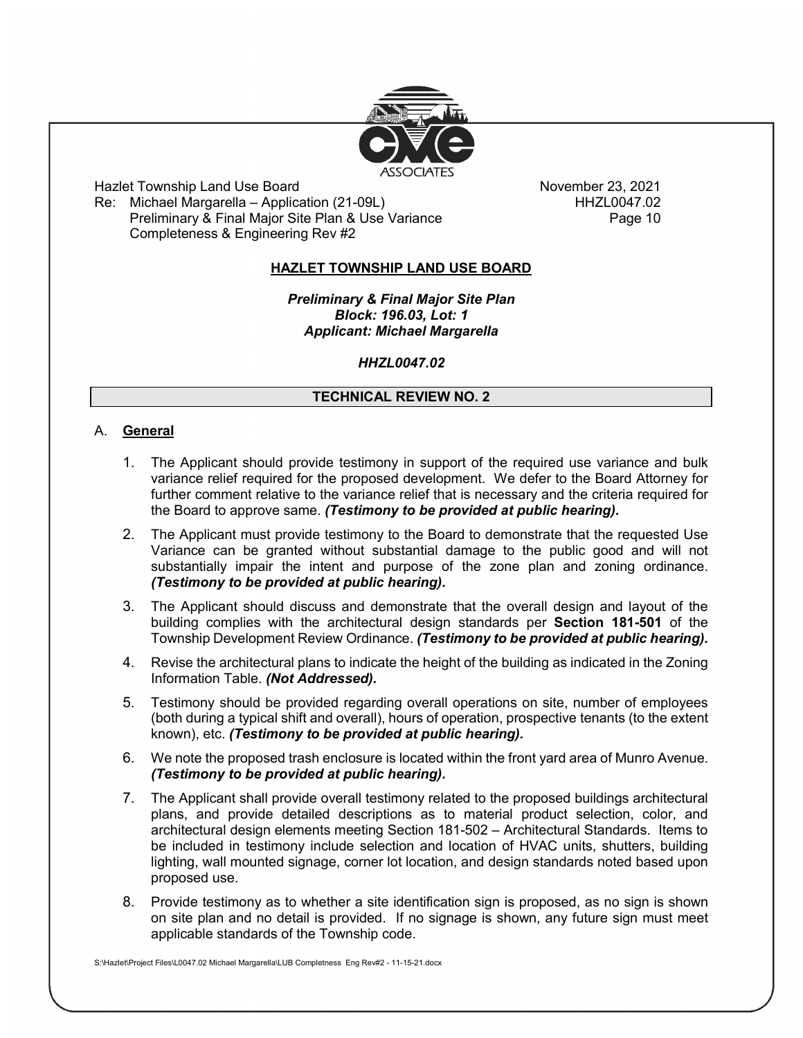

Hazlet Township Land Use Board November 23, 2021<br>Re: Michael Margarella – Application (21-09L) HHZL0047.02 Re: Michael Margarella – Application (21-09L) Preliminary & Final Major Site Plan & Use Variance **Preliminary & Final Major** Completeness & Engineering Rev #2

# **HAZLET TOWNSHIP LAND USE BOARD**

*Preliminary & Final Major Site Plan Block: 196.03, Lot: 1 Applicant: Michael Margarella*

## *HHZL0047.02*

## **TECHNICAL REVIEW NO. 2**

#### A. **General**

- 1. The Applicant should provide testimony in support of the required use variance and bulk variance relief required for the proposed development. We defer to the Board Attorney for further comment relative to the variance relief that is necessary and the criteria required for the Board to approve same. *(Testimony to be provided at public hearing).*
- 2. The Applicant must provide testimony to the Board to demonstrate that the requested Use Variance can be granted without substantial damage to the public good and will not substantially impair the intent and purpose of the zone plan and zoning ordinance. *(Testimony to be provided at public hearing).*
- 3. The Applicant should discuss and demonstrate that the overall design and layout of the building complies with the architectural design standards per **Section 181-501** of the Township Development Review Ordinance. *(Testimony to be provided at public hearing).*
- 4. Revise the architectural plans to indicate the height of the building as indicated in the Zoning Information Table. *(Not Addressed).*
- 5. Testimony should be provided regarding overall operations on site, number of employees (both during a typical shift and overall), hours of operation, prospective tenants (to the extent known), etc. *(Testimony to be provided at public hearing).*
- 6. We note the proposed trash enclosure is located within the front yard area of Munro Avenue. *(Testimony to be provided at public hearing).*
- 7. The Applicant shall provide overall testimony related to the proposed buildings architectural plans, and provide detailed descriptions as to material product selection, color, and architectural design elements meeting Section 181-502 – Architectural Standards. Items to be included in testimony include selection and location of HVAC units, shutters, building lighting, wall mounted signage, corner lot location, and design standards noted based upon proposed use.
- 8. Provide testimony as to whether a site identification sign is proposed, as no sign is shown on site plan and no detail is provided. If no signage is shown, any future sign must meet applicable standards of the Township code.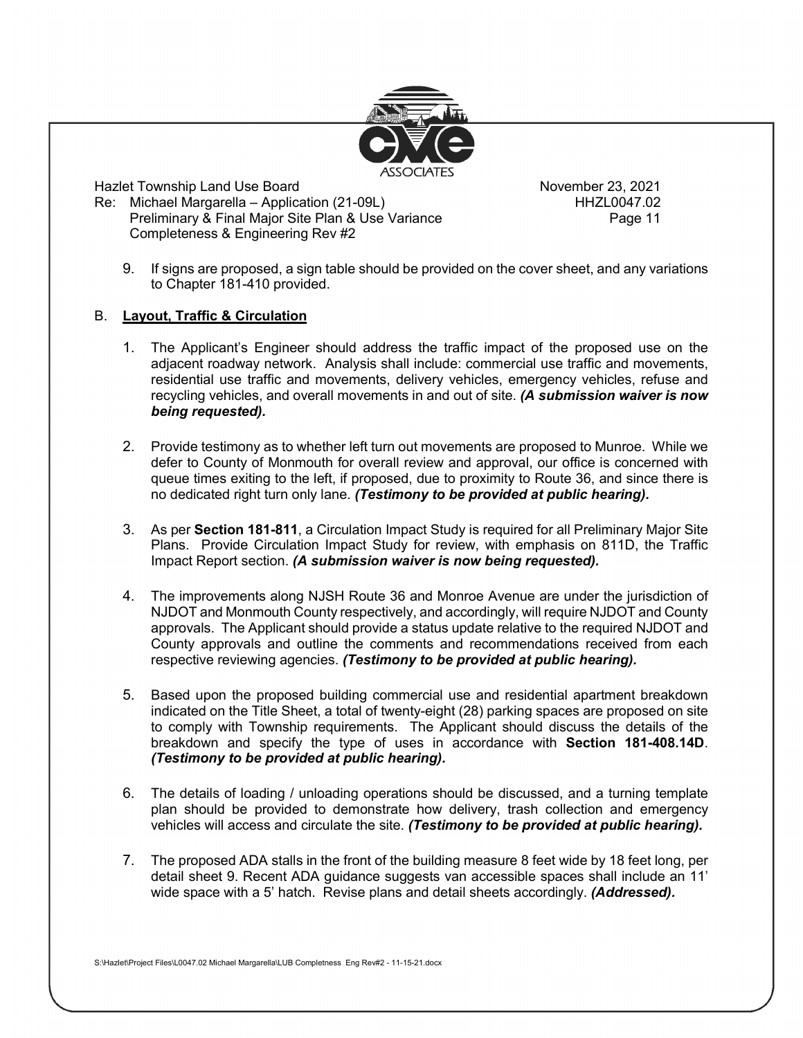

Hazlet Township Land Use Board<br>Re: Michael Margarella – Application (21-09L) November 23, 2021 Re: Michael Margarella – Application (21-09L) Preliminary & Final Major Site Plan & Use Variance **Page 11** Page 11 Completeness & Engineering Rev #2

9. If signs are proposed, a sign table should be provided on the cover sheet, and any variations to Chapter 181-410 provided.

#### B. **Layout, Traffic & Circulation**

- 1. The Applicant's Engineer should address the traffic impact of the proposed use on the adjacent roadway network. Analysis shall include: commercial use traffic and movements, residential use traffic and movements, delivery vehicles, emergency vehicles, refuse and recycling vehicles, and overall movements in and out of site. *(A submission waiver is now being requested).*
- 2. Provide testimony as to whether left turn out movements are proposed to Munroe. While we defer to County of Monmouth for overall review and approval, our office is concerned with queue times exiting to the left, if proposed, due to proximity to Route 36, and since there is no dedicated right turn only lane. *(Testimony to be provided at public hearing).*
- 3. As per **Section 181-811**, a Circulation Impact Study is required for all Preliminary Major Site Plans. Provide Circulation Impact Study for review, with emphasis on 811D, the Traffic Impact Report section. *(A submission waiver is now being requested).*
- 4. The improvements along NJSH Route 36 and Monroe Avenue are under the jurisdiction of NJDOT and Monmouth County respectively, and accordingly, will require NJDOT and County approvals. The Applicant should provide a status update relative to the required NJDOT and County approvals and outline the comments and recommendations received from each respective reviewing agencies. *(Testimony to be provided at public hearing).*
- 5. Based upon the proposed building commercial use and residential apartment breakdown indicated on the Title Sheet, a total of twenty-eight (28) parking spaces are proposed on site to comply with Township requirements. The Applicant should discuss the details of the breakdown and specify the type of uses in accordance with **Section 181-408.14D**. *(Testimony to be provided at public hearing).*
- 6. The details of loading / unloading operations should be discussed, and a turning template plan should be provided to demonstrate how delivery, trash collection and emergency vehicles will access and circulate the site. *(Testimony to be provided at public hearing).*
- 7. The proposed ADA stalls in the front of the building measure 8 feet wide by 18 feet long, per detail sheet 9. Recent ADA guidance suggests van accessible spaces shall include an 11' wide space with a 5' hatch. Revise plans and detail sheets accordingly. *(Addressed).*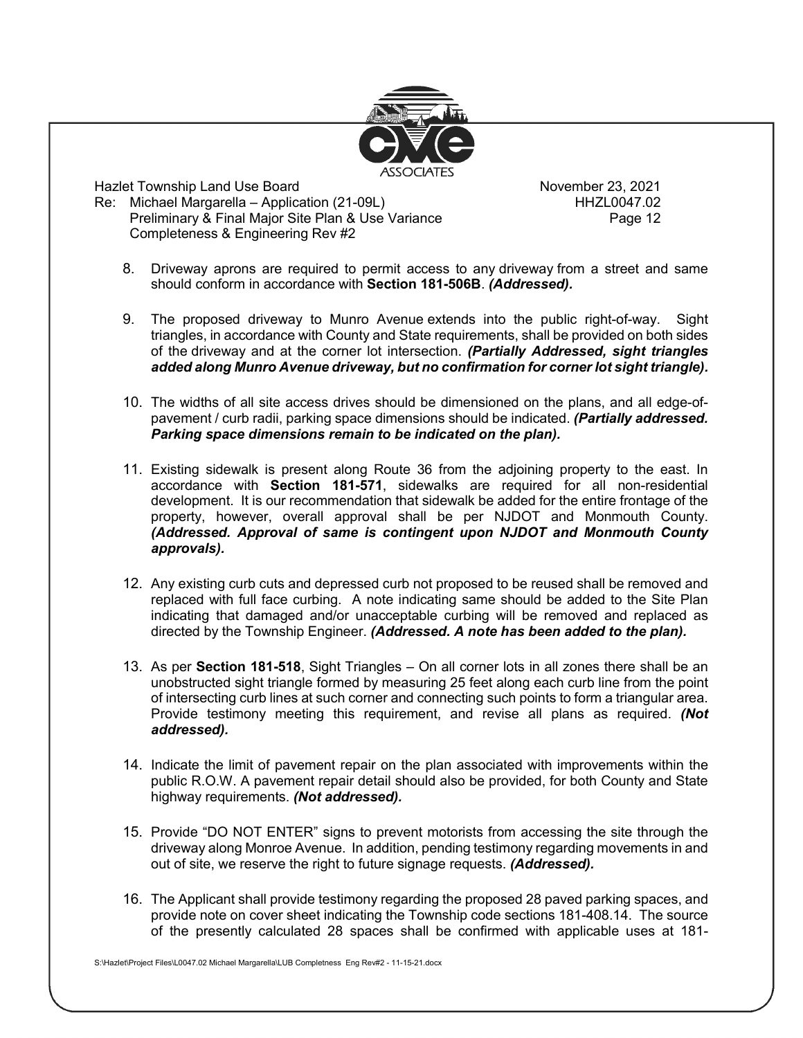

Hazlet Township Land Use Board<br>Re: Michael Margarella – Application (21-09L) November 23, 2021 Re: Michael Margarella – Application (21-09L) Preliminary & Final Major Site Plan & Use Variance **Page 12** Page 12 Completeness & Engineering Rev #2

- 8. Driveway aprons are required to permit access to any driveway from a street and same should conform in accordance with **Section 181-506B**. *(Addressed).*
- 9. The proposed driveway to Munro Avenue extends into the public right-of-way. Sight triangles, in accordance with County and State requirements, shall be provided on both sides of the driveway and at the corner lot intersection. *(Partially Addressed, sight triangles added along Munro Avenue driveway, but no confirmation for corner lot sight triangle).*
- 10. The widths of all site access drives should be dimensioned on the plans, and all edge-ofpavement / curb radii, parking space dimensions should be indicated. *(Partially addressed. Parking space dimensions remain to be indicated on the plan).*
- 11. Existing sidewalk is present along Route 36 from the adjoining property to the east. In accordance with **Section 181-571**, sidewalks are required for all non-residential development. It is our recommendation that sidewalk be added for the entire frontage of the property, however, overall approval shall be per NJDOT and Monmouth County. *(Addressed. Approval of same is contingent upon NJDOT and Monmouth County approvals).*
- 12. Any existing curb cuts and depressed curb not proposed to be reused shall be removed and replaced with full face curbing. A note indicating same should be added to the Site Plan indicating that damaged and/or unacceptable curbing will be removed and replaced as directed by the Township Engineer. *(Addressed. A note has been added to the plan).*
- 13. As per **Section 181-518**, Sight Triangles On all corner lots in all zones there shall be an unobstructed sight triangle formed by measuring 25 feet along each curb line from the point of intersecting curb lines at such corner and connecting such points to form a triangular area. Provide testimony meeting this requirement, and revise all plans as required. *(Not addressed).*
- 14. Indicate the limit of pavement repair on the plan associated with improvements within the public R.O.W. A pavement repair detail should also be provided, for both County and State highway requirements. *(Not addressed).*
- 15. Provide "DO NOT ENTER" signs to prevent motorists from accessing the site through the driveway along Monroe Avenue. In addition, pending testimony regarding movements in and out of site, we reserve the right to future signage requests. *(Addressed).*
- 16. The Applicant shall provide testimony regarding the proposed 28 paved parking spaces, and provide note on cover sheet indicating the Township code sections 181-408.14. The source of the presently calculated 28 spaces shall be confirmed with applicable uses at 181-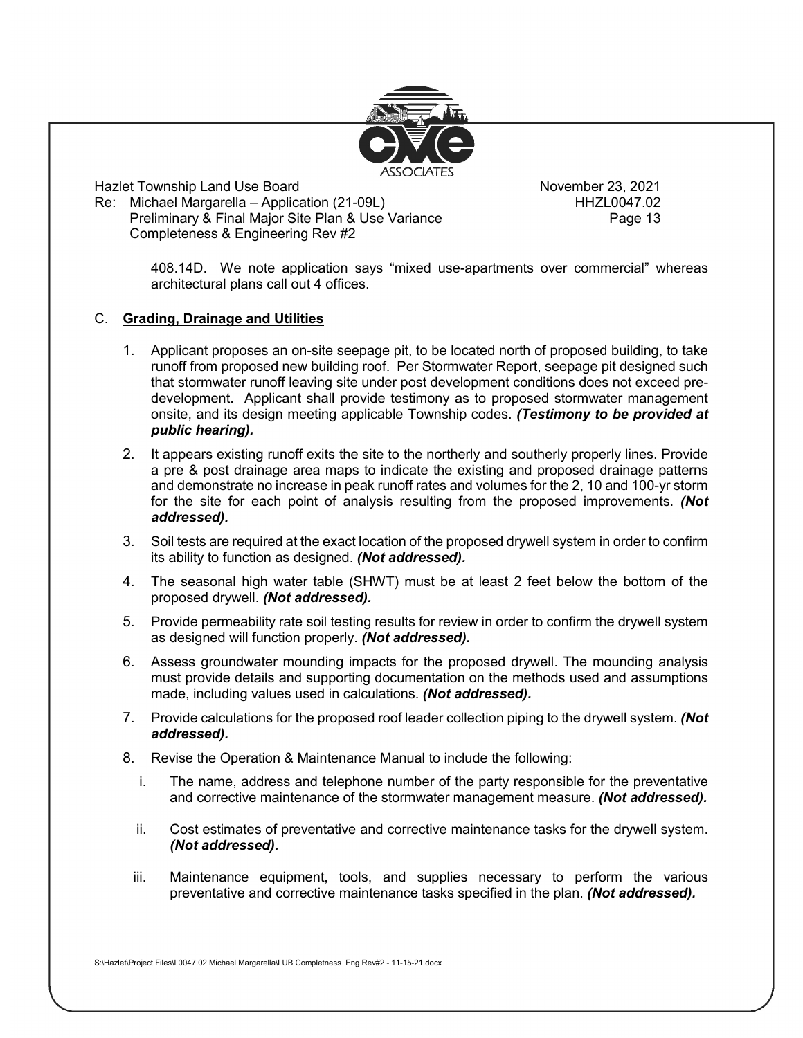

Hazlet Township Land Use Board November 23, 2021 Re: Michael Margarella – Application (21-09L) Preliminary & Final Major Site Plan & Use Variance **Page 13** Page 13 Completeness & Engineering Rev #2

408.14D. We note application says "mixed use-apartments over commercial" whereas architectural plans call out 4 offices.

## C. **Grading, Drainage and Utilities**

- 1. Applicant proposes an on-site seepage pit, to be located north of proposed building, to take runoff from proposed new building roof. Per Stormwater Report, seepage pit designed such that stormwater runoff leaving site under post development conditions does not exceed predevelopment. Applicant shall provide testimony as to proposed stormwater management onsite, and its design meeting applicable Township codes. *(Testimony to be provided at public hearing).*
- 2. It appears existing runoff exits the site to the northerly and southerly properly lines. Provide a pre & post drainage area maps to indicate the existing and proposed drainage patterns and demonstrate no increase in peak runoff rates and volumes for the 2, 10 and 100-yr storm for the site for each point of analysis resulting from the proposed improvements. *(Not addressed).*
- 3. Soil tests are required at the exact location of the proposed drywell system in order to confirm its ability to function as designed. *(Not addressed).*
- 4. The seasonal high water table (SHWT) must be at least 2 feet below the bottom of the proposed drywell. *(Not addressed).*
- 5. Provide permeability rate soil testing results for review in order to confirm the drywell system as designed will function properly. *(Not addressed).*
- 6. Assess groundwater mounding impacts for the proposed drywell. The mounding analysis must provide details and supporting documentation on the methods used and assumptions made, including values used in calculations. *(Not addressed).*
- 7. Provide calculations for the proposed roof leader collection piping to the drywell system. *(Not addressed).*
- 8. Revise the Operation & Maintenance Manual to include the following:
	- i. The name, address and telephone number of the party responsible for the preventative and corrective maintenance of the stormwater management measure. *(Not addressed).*
	- ii. Cost estimates of preventative and corrective maintenance tasks for the drywell system. *(Not addressed).*
	- iii. Maintenance equipment, tools, and supplies necessary to perform the various preventative and corrective maintenance tasks specified in the plan. *(Not addressed).*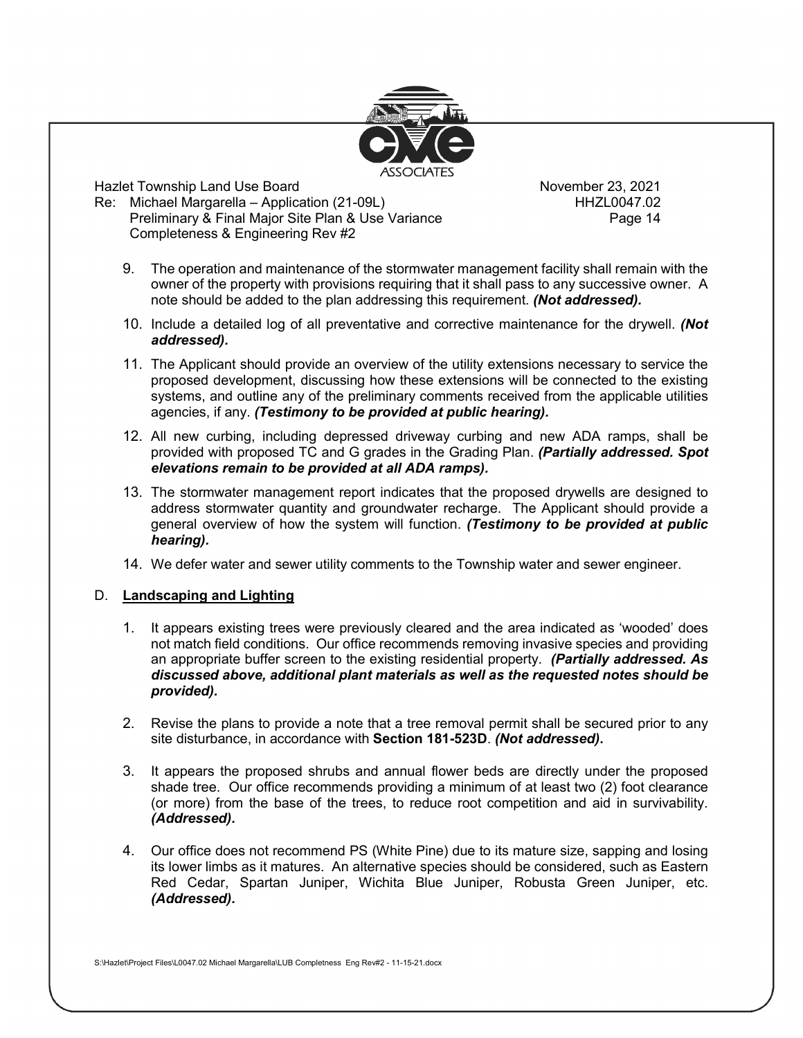

Hazlet Township Land Use Board<br>Re: Michael Margarella – Application (21-09L) November 23, 2021 Re: Michael Margarella – Application (21-09L) Preliminary & Final Major Site Plan & Use Variance **Page 14** Page 14 Completeness & Engineering Rev #2

- 9. The operation and maintenance of the stormwater management facility shall remain with the owner of the property with provisions requiring that it shall pass to any successive owner. A note should be added to the plan addressing this requirement. *(Not addressed).*
- 10. Include a detailed log of all preventative and corrective maintenance for the drywell. *(Not addressed).*
- 11. The Applicant should provide an overview of the utility extensions necessary to service the proposed development, discussing how these extensions will be connected to the existing systems, and outline any of the preliminary comments received from the applicable utilities agencies, if any. *(Testimony to be provided at public hearing).*
- 12. All new curbing, including depressed driveway curbing and new ADA ramps, shall be provided with proposed TC and G grades in the Grading Plan. *(Partially addressed. Spot elevations remain to be provided at all ADA ramps).*
- 13. The stormwater management report indicates that the proposed drywells are designed to address stormwater quantity and groundwater recharge. The Applicant should provide a general overview of how the system will function. *(Testimony to be provided at public hearing).*
- 14. We defer water and sewer utility comments to the Township water and sewer engineer.

#### D. **Landscaping and Lighting**

- 1. It appears existing trees were previously cleared and the area indicated as 'wooded' does not match field conditions. Our office recommends removing invasive species and providing an appropriate buffer screen to the existing residential property. *(Partially addressed. As discussed above, additional plant materials as well as the requested notes should be provided).*
- 2. Revise the plans to provide a note that a tree removal permit shall be secured prior to any site disturbance, in accordance with **Section 181-523D**. *(Not addressed)***.**
- 3. It appears the proposed shrubs and annual flower beds are directly under the proposed shade tree. Our office recommends providing a minimum of at least two (2) foot clearance (or more) from the base of the trees, to reduce root competition and aid in survivability. *(Addressed).*
- 4. Our office does not recommend PS (White Pine) due to its mature size, sapping and losing its lower limbs as it matures. An alternative species should be considered, such as Eastern Red Cedar, Spartan Juniper, Wichita Blue Juniper, Robusta Green Juniper, etc. *(Addressed).*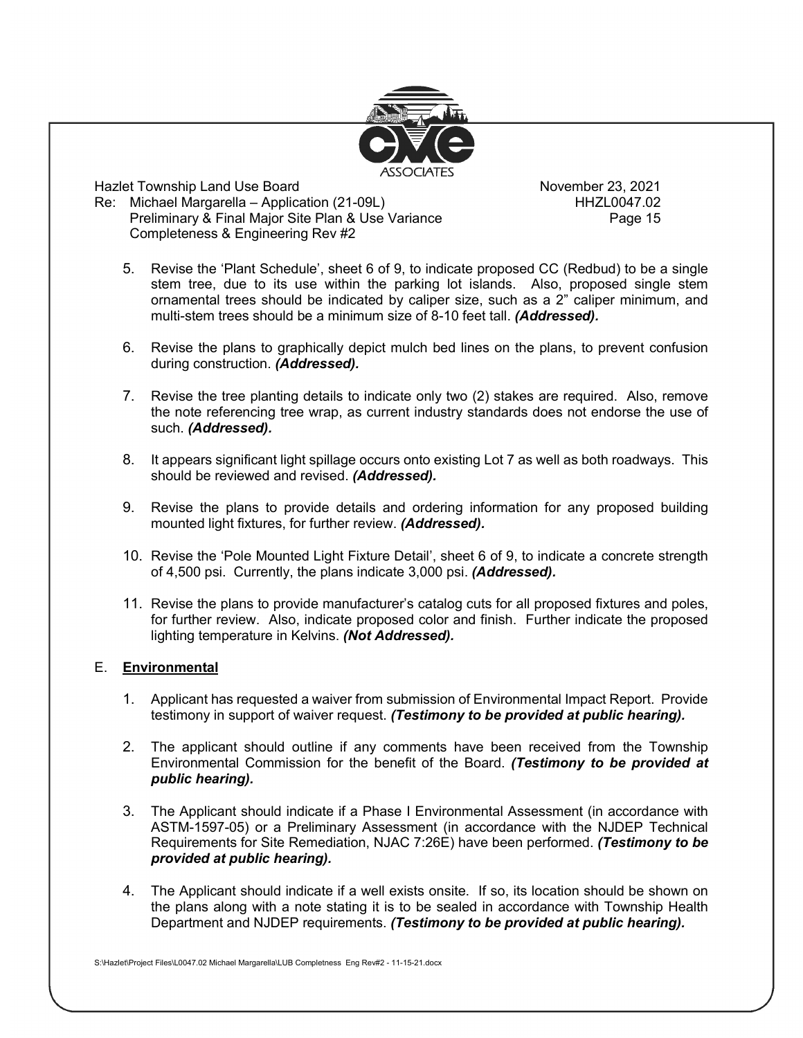

Hazlet Township Land Use Board<br>Re: Michael Margarella – Application (21-09L) November 23, 2021 Re: Michael Margarella – Application (21-09L) Preliminary & Final Major Site Plan & Use Variance **Page 15** Page 15 Completeness & Engineering Rev #2

- 5. Revise the 'Plant Schedule', sheet 6 of 9, to indicate proposed CC (Redbud) to be a single stem tree, due to its use within the parking lot islands. Also, proposed single stem ornamental trees should be indicated by caliper size, such as a 2" caliper minimum, and multi-stem trees should be a minimum size of 8-10 feet tall. *(Addressed).*
- 6. Revise the plans to graphically depict mulch bed lines on the plans, to prevent confusion during construction. *(Addressed).*
- 7. Revise the tree planting details to indicate only two (2) stakes are required. Also, remove the note referencing tree wrap, as current industry standards does not endorse the use of such. *(Addressed).*
- 8. It appears significant light spillage occurs onto existing Lot 7 as well as both roadways. This should be reviewed and revised. *(Addressed).*
- 9. Revise the plans to provide details and ordering information for any proposed building mounted light fixtures, for further review. *(Addressed).*
- 10. Revise the 'Pole Mounted Light Fixture Detail', sheet 6 of 9, to indicate a concrete strength of 4,500 psi. Currently, the plans indicate 3,000 psi. *(Addressed).*
- 11. Revise the plans to provide manufacturer's catalog cuts for all proposed fixtures and poles, for further review. Also, indicate proposed color and finish. Further indicate the proposed lighting temperature in Kelvins. *(Not Addressed).*

#### E. **Environmental**

- 1. Applicant has requested a waiver from submission of Environmental Impact Report. Provide testimony in support of waiver request. *(Testimony to be provided at public hearing).*
- 2. The applicant should outline if any comments have been received from the Township Environmental Commission for the benefit of the Board. *(Testimony to be provided at public hearing).*
- 3. The Applicant should indicate if a Phase I Environmental Assessment (in accordance with ASTM-1597-05) or a Preliminary Assessment (in accordance with the NJDEP Technical Requirements for Site Remediation, NJAC 7:26E) have been performed. *(Testimony to be provided at public hearing).*
- 4. The Applicant should indicate if a well exists onsite. If so, its location should be shown on the plans along with a note stating it is to be sealed in accordance with Township Health Department and NJDEP requirements. *(Testimony to be provided at public hearing).*